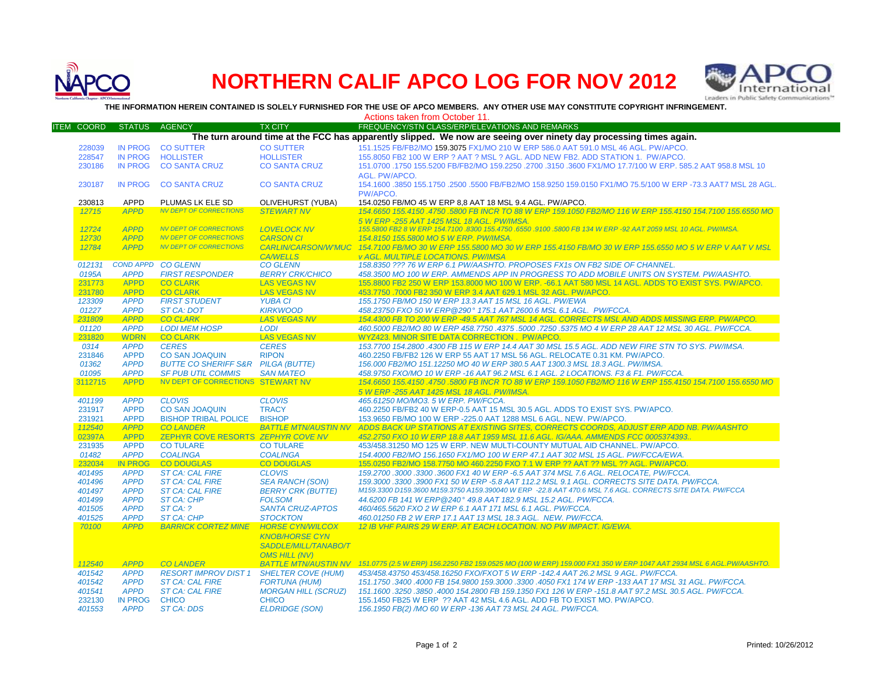

## **NORTHERN CALIF APCO LOG FOR NOV 2012**



**THE INFORMATION HEREIN CONTAINED IS SOLELY FURNISHED FOR THE USE OF APCO MEMBERS. ANY OTHER USE MAY CONSTITUTE COPYRIGHT INFRINGEMENT.**

|                                                                                                                   |                   |                            |                                                 |                                                 | Actions taken from October 11.                                                                                                                                                                       |  |  |  |  |  |
|-------------------------------------------------------------------------------------------------------------------|-------------------|----------------------------|-------------------------------------------------|-------------------------------------------------|------------------------------------------------------------------------------------------------------------------------------------------------------------------------------------------------------|--|--|--|--|--|
|                                                                                                                   | <b>ITEM COORD</b> | <b>STATUS</b>              | <b>AGENCY</b>                                   | <b>TX CITY</b>                                  | FREQUENCY/STN CLASS/ERP/ELEVATIONS AND REMARKS                                                                                                                                                       |  |  |  |  |  |
| The turn around time at the FCC has apparently slipped. We now are seeing over ninety day processing times again. |                   |                            |                                                 |                                                 |                                                                                                                                                                                                      |  |  |  |  |  |
|                                                                                                                   | 228039            | <b>IN PROG</b>             | <b>CO SUTTER</b>                                | <b>CO SUTTER</b>                                | 151.1525 FB/FB2/MO 159.3075 FX1/MO 210 W ERP 586.0 AAT 591.0 MSL 46 AGL, PW/APCO.                                                                                                                    |  |  |  |  |  |
|                                                                                                                   | 228547            | <b>IN PROG</b>             | <b>HOLLISTER</b>                                | <b>HOLLISTER</b>                                | 155,8050 FB2 100 W ERP ? AAT ? MSL ? AGL, ADD NEW FB2, ADD STATION 1, PW/APCO,                                                                                                                       |  |  |  |  |  |
|                                                                                                                   | 230186            | <b>IN PROG</b>             | <b>CO SANTA CRUZ</b>                            | <b>CO SANTA CRUZ</b>                            | 151.0700 .1750 155.5200 FB/FB2/MO 159.2250 .2700 .3150 .3600 FX1/MO 17.7/100 W ERP. 585.2 AAT 958.8 MSL 10                                                                                           |  |  |  |  |  |
|                                                                                                                   |                   |                            |                                                 |                                                 | <b>AGL. PW/APCO.</b>                                                                                                                                                                                 |  |  |  |  |  |
|                                                                                                                   | 230187            | <b>IN PROG</b>             | <b>CO SANTA CRUZ</b>                            | <b>CO SANTA CRUZ</b>                            | 154.1600 .3850 155.1750 .2500 .5500 FB/FB2/MO 158.9250 159.0150 FX1/MO 75.5/100 W ERP -73.3 AAT7 MSL 28 AGL.                                                                                         |  |  |  |  |  |
|                                                                                                                   |                   |                            |                                                 |                                                 | PW/APCO.                                                                                                                                                                                             |  |  |  |  |  |
|                                                                                                                   | 230813            | <b>APPD</b>                | PLUMAS LK ELE SD                                | OLIVEHURST (YUBA)                               | 154.0250 FB/MO 45 W ERP 8,8 AAT 18 MSL 9.4 AGL. PW/APCO.                                                                                                                                             |  |  |  |  |  |
|                                                                                                                   | 12715             | <b>APPD</b>                | <b>NV DEPT OF CORRECTIONS</b>                   | <b>STEWART NV</b>                               | 154,6650 155,4150,4750,5800 FB INCR TO 88 W ERP 159,1050 FB2/MO 116 W ERP 155,4150 154,7100 155,6550 MO                                                                                              |  |  |  |  |  |
|                                                                                                                   | 12724             | <b>APPD</b>                | <b>NV DEPT OF CORRECTIONS</b>                   | <b>LOVELOCK NV</b>                              | 5 W ERP -255 AAT 1425 MSL 18 AGL. PW/IMSA.<br>155,5800 FB2 8 W ERP 154,7100 .8300 155,4750 .6550 .9100 .5800 FB 134 W ERP -92 AAT 2059 MSL 10 AGL, PW/IMSA.                                          |  |  |  |  |  |
|                                                                                                                   | 12730             | <b>APPD</b>                | <b>NV DEPT OF CORRECTIONS</b>                   | <b>CARSON CI</b>                                | 154.8150 155.5800 MO 5 W ERP. PW/IMSA.                                                                                                                                                               |  |  |  |  |  |
|                                                                                                                   | 12784             | <b>APPD</b>                | <b>NV DEPT OF CORRECTIONS</b>                   | <b>CARLIN/CARSON/W'MUC</b>                      | 154.7100 FB/MO 30 W ERP 155.5800 MO 30 W ERP 155.4150 FB/MO 30 W ERP 155.6550 MO 5 W ERP V AAT V MSL                                                                                                 |  |  |  |  |  |
|                                                                                                                   |                   |                            |                                                 | <b>CA/WELLS</b>                                 | <b>v AGL. MULTIPLE LOCATIONS. PW/IMSA</b>                                                                                                                                                            |  |  |  |  |  |
|                                                                                                                   | 012131            | <b>COND APPD</b>           | <b>CO GLENN</b>                                 | <b>CO GLENN</b>                                 | 158.8350 ??? 76 W ERP 6.1 PW/AASHTO. PROPOSES FX1s ON FB2 SIDE OF CHANNEL                                                                                                                            |  |  |  |  |  |
|                                                                                                                   | 0195A             | <b>APPD</b>                | <b>FIRST RESPONDER</b>                          | <b>BERRY CRK/CHICO</b>                          | 458.3500 MO 100 W ERP. AMMENDS APP IN PROGRESS TO ADD MOBILE UNITS ON SYSTEM. PW/AASHTO.                                                                                                             |  |  |  |  |  |
|                                                                                                                   | 231773            | <b>APPD</b>                | <b>CO CLARK</b>                                 | <b>LAS VEGAS NV</b>                             | 155.8800 FB2 250 W ERP 153.8000 MO 100 W ERP. -66.1 AAT 580 MSL 14 AGL. ADDS TO EXIST SYS. PW/APCO.                                                                                                  |  |  |  |  |  |
|                                                                                                                   | 231780            | <b>APPD</b>                | <b>CO CLARK</b>                                 | <b>LAS VEGAS NV</b>                             | 453.7750.7000 FB2 350 W ERP 3.4 AAT 629.1 MSL 32 AGL. PW/APCO.                                                                                                                                       |  |  |  |  |  |
|                                                                                                                   | 123309            | <b>APPD</b>                | <b>FIRST STUDENT</b>                            | <b>YUBA CI</b>                                  | 155.1750 FB/MO 150 W ERP 13.3 AAT 15 MSL 16 AGL. PW/EWA                                                                                                                                              |  |  |  |  |  |
|                                                                                                                   | 01227             | <b>APPD</b>                | <b>ST CA: DOT</b>                               | <b>KIRKWOOD</b>                                 | 458.23750 FXO 50 W ERP@290° 175.1 AAT 2600.6 MSL 6.1 AGL. PW/FCCA.                                                                                                                                   |  |  |  |  |  |
|                                                                                                                   | 231809            | <b>APPD</b>                | <b>CO CLARK</b>                                 | <b>LAS VEGAS NV</b><br><b>LODI</b>              | 154.4300 FB TO 200 W ERP -49.5 AAT 767 MSL 14 AGL. CORRECTS MSL AND ADDS MISSING ERP. PW/APCO<br>460.5000 FB2/MO 80 W ERP 458.7750 .4375 .5000 .7250 .5375 MO 4 W ERP 28 AAT 12 MSL 30 AGL. PW/FCCA. |  |  |  |  |  |
|                                                                                                                   | 01120<br>231820   | <b>APPD</b><br><b>WDRN</b> | <b>LODI MEM HOSP</b><br><b>CO CLARK</b>         | <b>LAS VEGAS NV</b>                             | WYZ423. MINOR SITE DATA CORRECTION. PW/APCO.                                                                                                                                                         |  |  |  |  |  |
|                                                                                                                   | 0314              | <b>APPD</b>                | <b>CERES</b>                                    | <b>CERES</b>                                    | 153.7700 154.2800 .4300 FB 115 W ERP 14.4 AAT 30 MSL 15.5 AGL. ADD NEW FIRE STN TO SYS. PW/IMSA.                                                                                                     |  |  |  |  |  |
|                                                                                                                   | 231846            | <b>APPD</b>                | <b>CO SAN JOAQUIN</b>                           | <b>RIPON</b>                                    | 460.2250 FB/FB2 126 W ERP 55 AAT 17 MSL 56 AGL. RELOCATE 0.31 KM. PW/APCO.                                                                                                                           |  |  |  |  |  |
|                                                                                                                   | 01362             | <b>APPD</b>                | <b>BUTTE CO SHERIFF S&amp;R PILGA (BUTTE)</b>   |                                                 | 156,000 FB2/MO 151,12250 MO 40 W ERP 380.5 AAT 1300.3 MSL 18.3 AGL, PW/IMSA,                                                                                                                         |  |  |  |  |  |
|                                                                                                                   | 01095             | <b>APPD</b>                | <b>SF PUB UTIL COMMIS</b>                       | <b>SAN MATEO</b>                                | 458.9750 FXO/MO 10 W ERP -16 AAT 96.2 MSL 6.1 AGL. 2 LOCATIONS. F3 & F1. PW/FCCA.                                                                                                                    |  |  |  |  |  |
|                                                                                                                   | 3112715           | <b>APPD</b>                | NV DEPT OF CORRECTIONS STEWART NV               |                                                 | 154.6650 155.4150 .4750 .5800 FB INCR TO 88 W ERP 159.1050 FB2/MO 116 W ERP 155.4150 154.7100 155.6550 MO                                                                                            |  |  |  |  |  |
|                                                                                                                   |                   |                            |                                                 |                                                 | 5 W ERP -255 AAT 1425 MSL 18 AGL, PW/IMSA.                                                                                                                                                           |  |  |  |  |  |
|                                                                                                                   | 401199            | <b>APPD</b>                | <b>CLOVIS</b>                                   | <b>CLOVIS</b>                                   | 465.61250 MO/MO3. 5 W ERP. PW/FCCA.                                                                                                                                                                  |  |  |  |  |  |
|                                                                                                                   | 231917            | <b>APPD</b>                | <b>CO SAN JOAQUIN</b>                           | <b>TRACY</b>                                    | 460.2250 FB/FB2 40 W ERP-0.5 AAT 15 MSL 30.5 AGL. ADDS TO EXIST SYS. PW/APCO.                                                                                                                        |  |  |  |  |  |
|                                                                                                                   | 231921            | <b>APPD</b><br><b>APPD</b> | <b>BISHOP TRIBAL POLICE</b><br><b>CO LANDER</b> | <b>BISHOP</b>                                   | 153.9650 FB/MO 100 W ERP -225.0 AAT 1288 MSL 6 AGL. NEW. PW/APCO.                                                                                                                                    |  |  |  |  |  |
|                                                                                                                   | 112540<br>02397A  | <b>APPD</b>                | ZEPHYR COVE RESORTS ZEPHYR COVE NV              | <b>BATTLE MTN/AUSTIN NV</b>                     | ADDS BACK UP STATIONS AT EXISTING SITES, CORRECTS COORDS, ADJUST ERP ADD NB. PW/AASHTO<br>452.2750 FXO 10 W ERP 18.8 AAT 1959 MSL 11.6 AGL, IG/AAA, AMMENDS FCC 0005374393.                          |  |  |  |  |  |
|                                                                                                                   | 231935            | <b>APPD</b>                | <b>CO TULARE</b>                                | <b>CO TULARE</b>                                | 453/458.31250 MO 125 W ERP. NEW MULTI-COUNTY MUTUAL AID CHANNEL. PW/APCO.                                                                                                                            |  |  |  |  |  |
|                                                                                                                   | 01482             | <b>APPD</b>                | <b>COALINGA</b>                                 | <b>COALINGA</b>                                 | 154.4000 FB2/MO 156.1650 FX1/MO 100 W ERP 47.1 AAT 302 MSL 15 AGL. PW/FCCA/EWA.                                                                                                                      |  |  |  |  |  |
|                                                                                                                   | 232034            | <b>IN PROG</b>             | <b>CO DOUGLAS</b>                               | <b>CO DOUGLAS</b>                               | 155.0250 FB2/MO 158.7750 MO 460.2250 FXO 7.1 W ERP ?? AAT ?? MSL ?? AGL. PW/APCO.                                                                                                                    |  |  |  |  |  |
|                                                                                                                   | 401495            | <b>APPD</b>                | <b>ST CA: CAL FIRE</b>                          | <b>CLOVIS</b>                                   | 159.2700.3000.3300.3600 FX1 40 W ERP -6.5 AAT 374 MSL 7.6 AGL. RELOCATE, PW/FCCA.                                                                                                                    |  |  |  |  |  |
|                                                                                                                   | 401496            | <b>APPD</b>                | <b>ST CA: CAL FIRE</b>                          | <b>SEA RANCH (SON)</b>                          | 159.3000.3300.3900 FX1 50 W ERP -5.8 AAT 112.2 MSL 9.1 AGL. CORRECTS SITE DATA. PW/FCCA.                                                                                                             |  |  |  |  |  |
|                                                                                                                   | 401497            | <b>APPD</b>                | <b>ST CA: CAL FIRE</b>                          | <b>BERRY CRK (BUTTE)</b>                        | M159.3300 D159.3600 M159.3750 A159.390040 W ERP -22.8 AAT 470.6 MSL 7.6 AGL. CORRECTS SITE DATA. PW/FCCA                                                                                             |  |  |  |  |  |
|                                                                                                                   | 401499            | <b>APPD</b>                | ST CA: CHP                                      | <b>FOLSOM</b>                                   | 44.6200 FB 141 W ERP @240° 49.8 AAT 182.9 MSL 15.2 AGL. PW/FCCA.                                                                                                                                     |  |  |  |  |  |
|                                                                                                                   | 401505            | <b>APPD</b>                | ST CA: ?                                        | <b>SANTA CRUZ-APTOS</b>                         | 460/465.5620 FXO 2 W ERP 6.1 AAT 171 MSL 6.1 AGL. PW/FCCA.                                                                                                                                           |  |  |  |  |  |
|                                                                                                                   | 401525            | <b>APPD</b>                | ST CA: CHP                                      | <b>STOCKTON</b>                                 | 460.01250 FB 2 W ERP 17.1 AAT 13 MSL 18.3 AGL. NEW. PW/FCCA.                                                                                                                                         |  |  |  |  |  |
|                                                                                                                   | 70100             | <b>APPD</b>                | <b>BARRICK CORTEZ MINE</b>                      | <b>HORSE CYNWILCOX</b><br><b>KNOB/HORSE CYN</b> | 12 IB VHF PAIRS 29 W ERP. AT EACH LOCATION. NO PW IMPACT. IG/EWA.                                                                                                                                    |  |  |  |  |  |
|                                                                                                                   |                   |                            |                                                 | SADDLE/MILL/TANABO/T                            |                                                                                                                                                                                                      |  |  |  |  |  |
|                                                                                                                   |                   |                            |                                                 | <b>OMS HILL (NV)</b>                            |                                                                                                                                                                                                      |  |  |  |  |  |
|                                                                                                                   | 112540            | <b>APPD</b>                | <b>CO LANDER</b>                                | <b>BATTLE MTN/AUSTIN NV</b>                     | 151.0775 (2.5 W ERP) 156.2250 FB2 159.0525 MO (100 W ERP) 159.000 FX1 350 W ERP 1047 AAT 2934 MSL 6 AGL.PW/AASHTO.                                                                                   |  |  |  |  |  |
|                                                                                                                   | 401542            | <b>APPD</b>                | <b>RESORT IMPROV DIST 1</b>                     | <b>SHELTER COVE (HUM)</b>                       | 453/458.43750 453/458.16250 FXO/FXOT 5 W ERP -142.4 AAT 26.2 MSL 9 AGL, PW/FCCA.                                                                                                                     |  |  |  |  |  |
|                                                                                                                   | 401542            | <b>APPD</b>                | <b>ST CA: CAL FIRE</b>                          | <b>FORTUNA (HUM)</b>                            | 151.1750.3400.4000 FB 154.9800 159.3000.3300.4050 FX1 174 W ERP -133 AAT 17 MSL 31 AGL. PW/FCCA.                                                                                                     |  |  |  |  |  |
|                                                                                                                   | 401541            | <b>APPD</b>                | <b>ST CA: CAL FIRE</b>                          | <b>MORGAN HILL (SCRUZ)</b>                      | 151.1600.3250.3850.4000 154.2800 FB 159.1350 FX1 126 W ERP -151.8 AAT 97.2 MSL 30.5 AGL. PW/FCCA.                                                                                                    |  |  |  |  |  |
|                                                                                                                   | 232130            | <b>IN PROG</b>             | <b>CHICO</b>                                    | <b>CHICO</b>                                    | 155.1450 FB25 W ERP ?? AAT 42 MSL 4.6 AGL, ADD FB TO EXIST MO, PW/APCO.                                                                                                                              |  |  |  |  |  |
|                                                                                                                   | 401553            | <b>APPD</b>                | <b>ST CA: DDS</b>                               | <b>ELDRIDGE (SON)</b>                           | 156.1950 FB(2) /MO 60 W ERP -136 AAT 73 MSL 24 AGL. PW/FCCA.                                                                                                                                         |  |  |  |  |  |